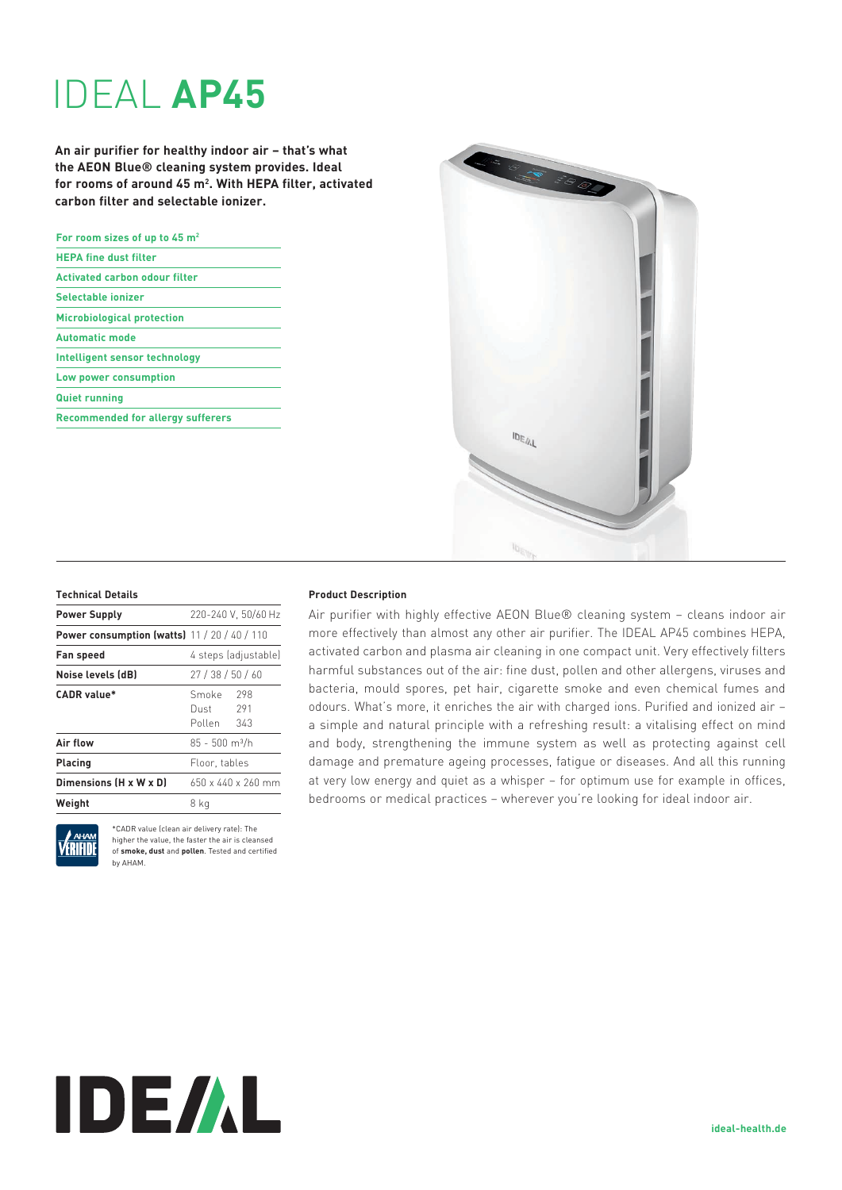# IDEAL **AP45**

**An air purifier for healthy indoor air – that's what the AEON Blue® cleaning system provides. Ideal for rooms of around 45 m2 . With HEPA filter, activated carbon filter and selectable ionizer.** 

| For room sizes of up to 45 m <sup>2</sup> |
|-------------------------------------------|
| <b>HEPA fine dust filter</b>              |
| <b>Activated carbon odour filter</b>      |
| Selectable ionizer                        |
| <b>Microbiological protection</b>         |
| <b>Automatic mode</b>                     |
| Intelligent sensor technology             |
| Low power consumption                     |
| <b>Quiet running</b>                      |
| <b>Recommended for allergy sufferers</b>  |
|                                           |



### **Technical Details**

| <b>Power Supply</b>                                 | 220-240 V. 50/60 Hz                          |
|-----------------------------------------------------|----------------------------------------------|
| <b>Power consumption (watts)</b> 11 / 20 / 40 / 110 |                                              |
| <b>Fan speed</b>                                    | 4 steps (adjustable)                         |
| Noise levels (dB)                                   | 27/38/50/60                                  |
| CADR value*                                         | 298<br>Smoke<br>291<br>Dust<br>Pollen<br>343 |
| Air flow                                            | $85 - 500$ m <sup>3</sup> /h                 |
| Placing                                             | Floor, tables                                |
| Dimensions (H x W x D)                              | $650 \times 440 \times 260$ mm               |
| Weight                                              | 8 ka                                         |
|                                                     |                                              |



\*CADR value (clean air delivery rate): The higher the value, the faster the air is cleansed of **smoke, dust** and **pollen**. Tested and certified by AHAM.

## **Product Description**

Air purifier with highly effective AEON Blue® cleaning system – cleans indoor air more effectively than almost any other air purifier. The IDEAL AP45 combines HEPA, activated carbon and plasma air cleaning in one compact unit. Very effectively filters harmful substances out of the air: fine dust, pollen and other allergens, viruses and bacteria, mould spores, pet hair, cigarette smoke and even chemical fumes and odours. What's more, it enriches the air with charged ions. Purified and ionized air – a simple and natural principle with a refreshing result: a vitalising effect on mind and body, strengthening the immune system as well as protecting against cell damage and premature ageing processes, fatigue or diseases. And all this running at very low energy and quiet as a whisper – for optimum use for example in offices, bedrooms or medical practices – wherever you're looking for ideal indoor air.